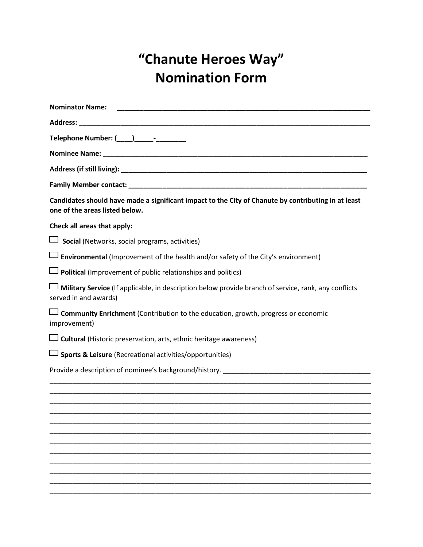## **"Chanute Heroes Way" Nomination Form**

| <b>Nominator Name:</b>                                                                                                                |
|---------------------------------------------------------------------------------------------------------------------------------------|
|                                                                                                                                       |
| Telephone Number: (____)_____-__________                                                                                              |
|                                                                                                                                       |
|                                                                                                                                       |
|                                                                                                                                       |
| Candidates should have made a significant impact to the City of Chanute by contributing in at least<br>one of the areas listed below. |
| Check all areas that apply:                                                                                                           |
| <b>Social</b> (Networks, social programs, activities)                                                                                 |
| $\Box$ Environmental (Improvement of the health and/or safety of the City's environment)                                              |
| <b>Political</b> (Improvement of public relationships and politics)                                                                   |
| Military Service (If applicable, in description below provide branch of service, rank, any conflicts<br>served in and awards)         |
| $\Box$ Community Enrichment (Contribution to the education, growth, progress or economic<br>improvement)                              |
| <b>L</b> Cultural (Historic preservation, arts, ethnic heritage awareness)                                                            |
| <b>Sports &amp; Leisure</b> (Recreational activities/opportunities)                                                                   |
| Provide a description of nominee's background/history. __________________________                                                     |
|                                                                                                                                       |
|                                                                                                                                       |
|                                                                                                                                       |
|                                                                                                                                       |
|                                                                                                                                       |
|                                                                                                                                       |
|                                                                                                                                       |
|                                                                                                                                       |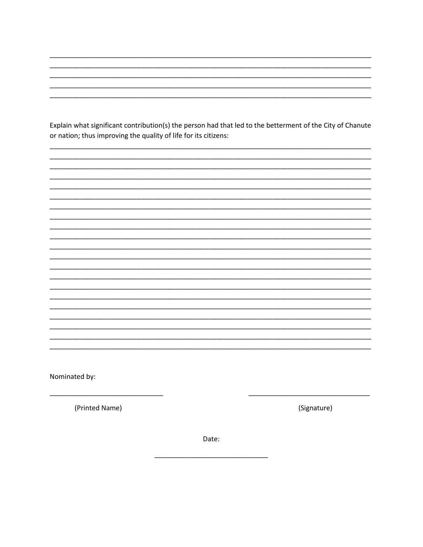Explain what significant contribution(s) the person had that led to the betterment of the City of Chanute or nation; thus improving the quality of life for its citizens:

Nominated by:

(Printed Name)

(Signature)

Date: